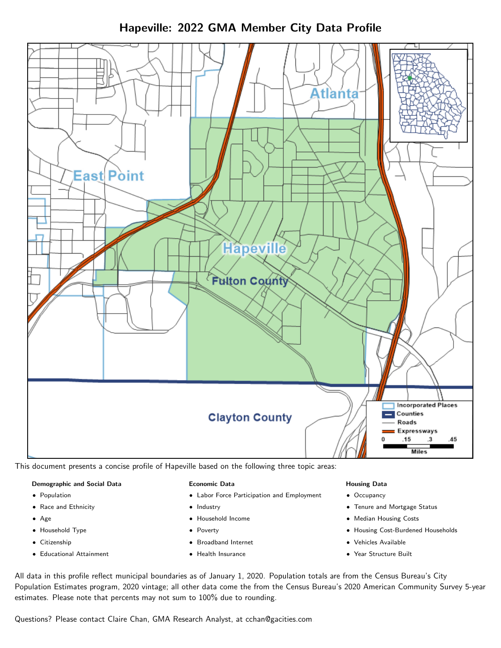Hapeville: 2022 GMA Member City Data Profile



This document presents a concise profile of Hapeville based on the following three topic areas:

#### Demographic and Social Data

- **•** Population
- Race and Ethnicity
- Age
- Household Type
- **Citizenship**
- Educational Attainment

#### Economic Data

- Labor Force Participation and Employment
- Industry
- Household Income
- Poverty
- Broadband Internet
- Health Insurance

#### Housing Data

- Occupancy
- Tenure and Mortgage Status
- Median Housing Costs
- Housing Cost-Burdened Households
- Vehicles Available
- Year Structure Built

All data in this profile reflect municipal boundaries as of January 1, 2020. Population totals are from the Census Bureau's City Population Estimates program, 2020 vintage; all other data come the from the Census Bureau's 2020 American Community Survey 5-year estimates. Please note that percents may not sum to 100% due to rounding.

Questions? Please contact Claire Chan, GMA Research Analyst, at [cchan@gacities.com.](mailto:cchan@gacities.com)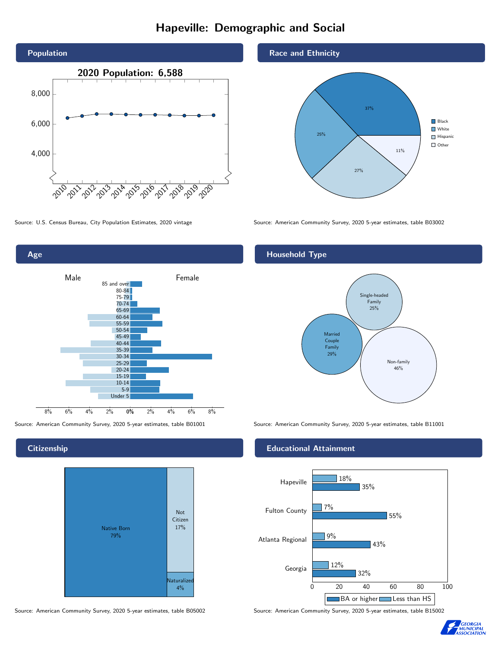# Hapeville: Demographic and Social





**Citizenship** 



Race and Ethnicity



Source: U.S. Census Bureau, City Population Estimates, 2020 vintage Source: American Community Survey, 2020 5-year estimates, table B03002

### Household Type



Source: American Community Survey, 2020 5-year estimates, table B01001 Source: American Community Survey, 2020 5-year estimates, table B11001

#### Educational Attainment



Source: American Community Survey, 2020 5-year estimates, table B05002 Source: American Community Survey, 2020 5-year estimates, table B15002

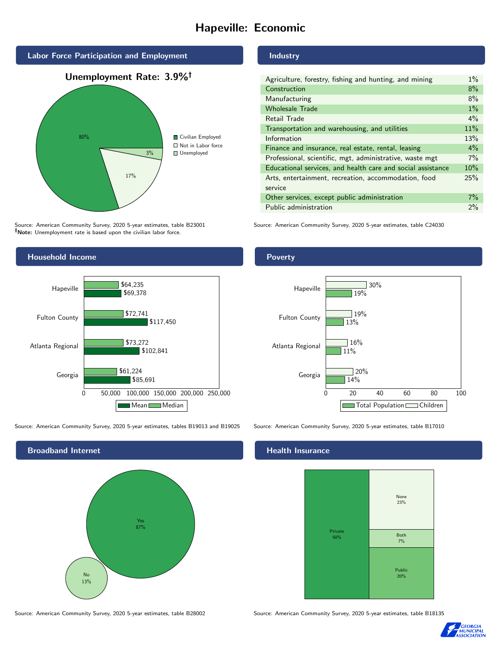# Hapeville: Economic



Source: American Community Survey, 2020 5-year estimates, table B23001 Note: Unemployment rate is based upon the civilian labor force.



Source: American Community Survey, 2020 5-year estimates, tables B19013 and B19025 Source: American Community Survey, 2020 5-year estimates, table B17010



Source: American Community Survey, 2020 5-year estimates, table B28002 Source: American Community Survey, 2020 5-year estimates, table B18135

#### Industry

| Agriculture, forestry, fishing and hunting, and mining      | $1\%$ |
|-------------------------------------------------------------|-------|
| Construction                                                | 8%    |
| Manufacturing                                               | 8%    |
| <b>Wholesale Trade</b>                                      | $1\%$ |
| Retail Trade                                                | $4\%$ |
| Transportation and warehousing, and utilities               | 11%   |
| Information                                                 | 13%   |
| Finance and insurance, real estate, rental, leasing         | $4\%$ |
| Professional, scientific, mgt, administrative, waste mgt    | $7\%$ |
| Educational services, and health care and social assistance | 10%   |
| Arts, entertainment, recreation, accommodation, food        | 25%   |
| service                                                     |       |
| Other services, except public administration                | $7\%$ |
| Public administration                                       | $2\%$ |

Source: American Community Survey, 2020 5-year estimates, table C24030

#### Poverty



#### Health Insurance